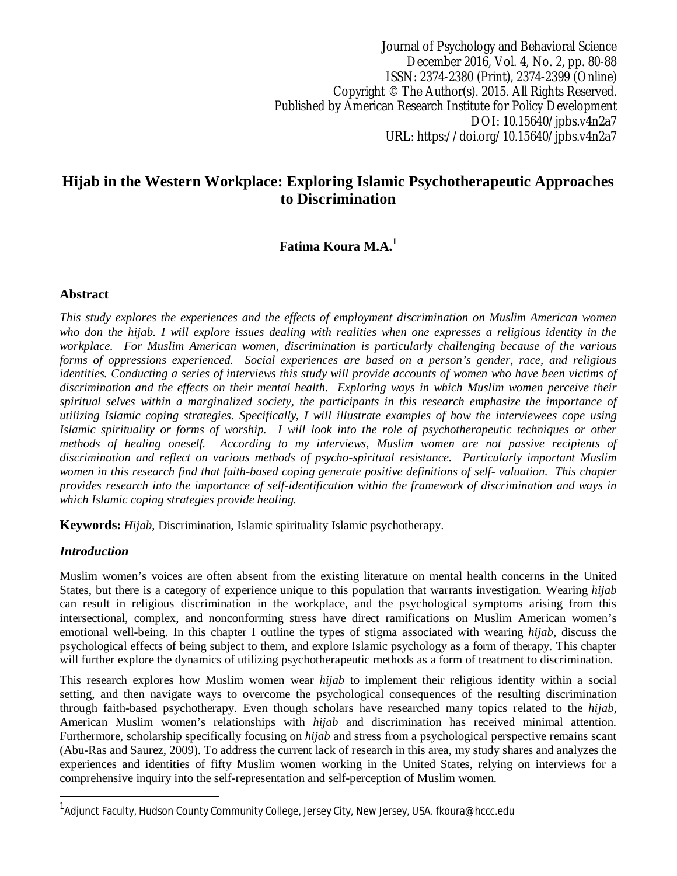Journal of Psychology and Behavioral Science December 2016, Vol. 4, No. 2, pp. 80-88 ISSN: 2374-2380 (Print), 2374-2399 (Online) Copyright © The Author(s). 2015. All Rights Reserved. Published by American Research Institute for Policy Development DOI: 10.15640/jpbs.v4n2a7 URL: https://doi.org/10.15640/jpbs.v4n2a7

# **Hijab in the Western Workplace: Exploring Islamic Psychotherapeutic Approaches to Discrimination**

## **Fatima Koura M.A.<sup>1</sup>**

#### **Abstract**

*This study explores the experiences and the effects of employment discrimination on Muslim American women who don the hijab. I will explore issues dealing with realities when one expresses a religious identity in the workplace. For Muslim American women, discrimination is particularly challenging because of the various forms of oppressions experienced. Social experiences are based on a person's gender, race, and religious identities. Conducting a series of interviews this study will provide accounts of women who have been victims of discrimination and the effects on their mental health. Exploring ways in which Muslim women perceive their spiritual selves within a marginalized society, the participants in this research emphasize the importance of utilizing Islamic coping strategies. Specifically, I will illustrate examples of how the interviewees cope using Islamic spirituality or forms of worship. I will look into the role of psychotherapeutic techniques or other methods of healing oneself. According to my interviews, Muslim women are not passive recipients of discrimination and reflect on various methods of psycho-spiritual resistance. Particularly important Muslim women in this research find that faith-based coping generate positive definitions of self- valuation. This chapter provides research into the importance of self-identification within the framework of discrimination and ways in which Islamic coping strategies provide healing.*

**Keywords:** *Hijab*, Discrimination, Islamic spirituality Islamic psychotherapy.

#### *Introduction*

 $\overline{a}$ 

Muslim women's voices are often absent from the existing literature on mental health concerns in the United States, but there is a category of experience unique to this population that warrants investigation. Wearing *hijab* can result in religious discrimination in the workplace, and the psychological symptoms arising from this intersectional, complex, and nonconforming stress have direct ramifications on Muslim American women's emotional well-being. In this chapter I outline the types of stigma associated with wearing *hijab*, discuss the psychological effects of being subject to them, and explore Islamic psychology as a form of therapy. This chapter will further explore the dynamics of utilizing psychotherapeutic methods as a form of treatment to discrimination.

This research explores how Muslim women wear *hijab* to implement their religious identity within a social setting, and then navigate ways to overcome the psychological consequences of the resulting discrimination through faith-based psychotherapy. Even though scholars have researched many topics related to the *hijab*, American Muslim women's relationships with *hijab* and discrimination has received minimal attention. Furthermore, scholarship specifically focusing on *hijab* and stress from a psychological perspective remains scant (Abu-Ras and Saurez, 2009). To address the current lack of research in this area, my study shares and analyzes the experiences and identities of fifty Muslim women working in the United States, relying on interviews for a comprehensive inquiry into the self-representation and self-perception of Muslim women.

<sup>&</sup>lt;sup>1</sup>Adjunct Faculty, Hudson County Community College, Jersey City, New Jersey, USA. fkoura@hccc.edu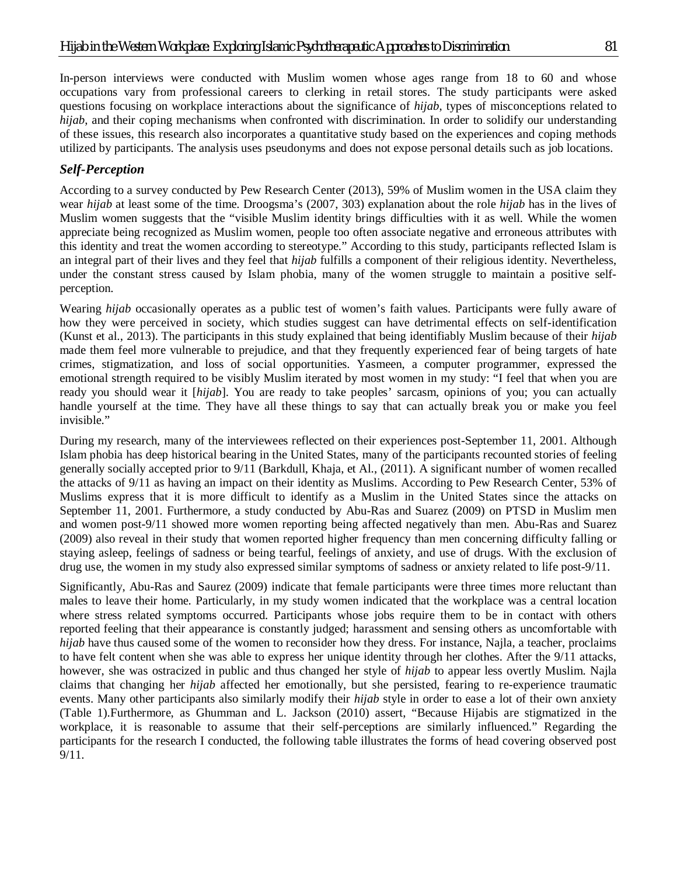In-person interviews were conducted with Muslim women whose ages range from 18 to 60 and whose occupations vary from professional careers to clerking in retail stores. The study participants were asked questions focusing on workplace interactions about the significance of *hijab*, types of misconceptions related to *hijab*, and their coping mechanisms when confronted with discrimination. In order to solidify our understanding of these issues, this research also incorporates a quantitative study based on the experiences and coping methods utilized by participants. The analysis uses pseudonyms and does not expose personal details such as job locations.

## *Self-Perception*

According to a survey conducted by Pew Research Center (2013), 59% of Muslim women in the USA claim they wear *hijab* at least some of the time. Droogsma's (2007, 303) explanation about the role *hijab* has in the lives of Muslim women suggests that the "visible Muslim identity brings difficulties with it as well. While the women appreciate being recognized as Muslim women, people too often associate negative and erroneous attributes with this identity and treat the women according to stereotype." According to this study, participants reflected Islam is an integral part of their lives and they feel that *hijab* fulfills a component of their religious identity. Nevertheless, under the constant stress caused by Islam phobia, many of the women struggle to maintain a positive selfperception.

Wearing *hijab* occasionally operates as a public test of women's faith values. Participants were fully aware of how they were perceived in society, which studies suggest can have detrimental effects on self-identification (Kunst et al., 2013). The participants in this study explained that being identifiably Muslim because of their *hijab* made them feel more vulnerable to prejudice, and that they frequently experienced fear of being targets of hate crimes, stigmatization, and loss of social opportunities. Yasmeen, a computer programmer, expressed the emotional strength required to be visibly Muslim iterated by most women in my study: "I feel that when you are ready you should wear it [*hijab*]. You are ready to take peoples' sarcasm, opinions of you; you can actually handle yourself at the time. They have all these things to say that can actually break you or make you feel invisible."

During my research, many of the interviewees reflected on their experiences post-September 11, 2001. Although Islam phobia has deep historical bearing in the United States, many of the participants recounted stories of feeling generally socially accepted prior to 9/11 (Barkdull, Khaja, et Al., (2011). A significant number of women recalled the attacks of 9/11 as having an impact on their identity as Muslims. According to Pew Research Center, 53% of Muslims express that it is more difficult to identify as a Muslim in the United States since the attacks on September 11, 2001. Furthermore, a study conducted by Abu-Ras and Suarez (2009) on PTSD in Muslim men and women post-9/11 showed more women reporting being affected negatively than men. Abu-Ras and Suarez (2009) also reveal in their study that women reported higher frequency than men concerning difficulty falling or staying asleep, feelings of sadness or being tearful, feelings of anxiety, and use of drugs. With the exclusion of drug use, the women in my study also expressed similar symptoms of sadness or anxiety related to life post-9/11.

Significantly, Abu-Ras and Saurez (2009) indicate that female participants were three times more reluctant than males to leave their home. Particularly, in my study women indicated that the workplace was a central location where stress related symptoms occurred. Participants whose jobs require them to be in contact with others reported feeling that their appearance is constantly judged; harassment and sensing others as uncomfortable with *hijab* have thus caused some of the women to reconsider how they dress. For instance, Najla, a teacher, proclaims to have felt content when she was able to express her unique identity through her clothes. After the 9/11 attacks, however, she was ostracized in public and thus changed her style of *hijab* to appear less overtly Muslim. Najla claims that changing her *hijab* affected her emotionally, but she persisted, fearing to re-experience traumatic events. Many other participants also similarly modify their *hijab* style in order to ease a lot of their own anxiety (Table 1).Furthermore, as Ghumman and L. Jackson (2010) assert, "Because Hijabis are stigmatized in the workplace, it is reasonable to assume that their self-perceptions are similarly influenced." Regarding the participants for the research I conducted, the following table illustrates the forms of head covering observed post 9/11.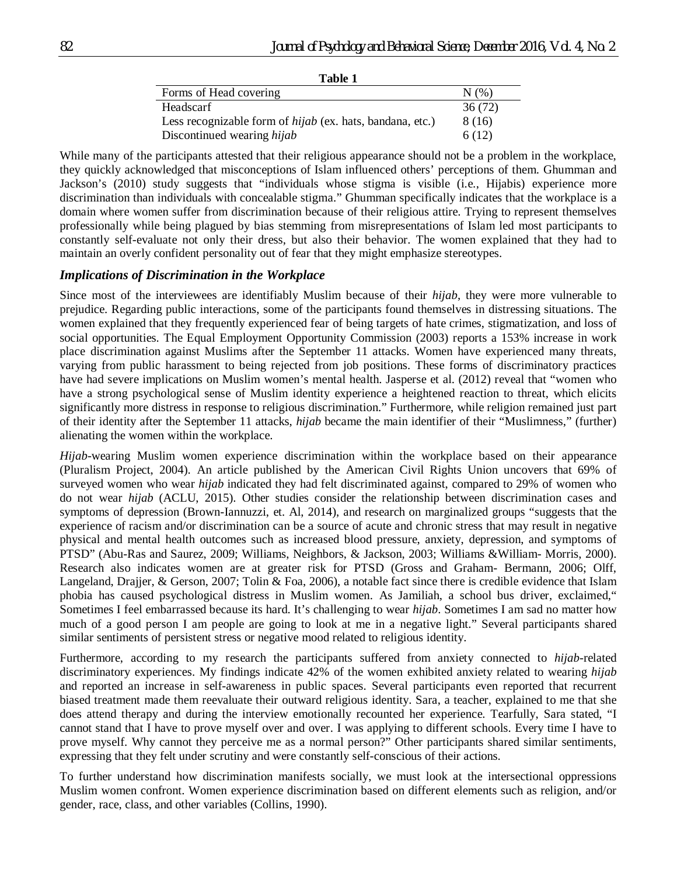| Table 1                                                          |         |
|------------------------------------------------------------------|---------|
| Forms of Head covering                                           | N(% )   |
| Headscarf                                                        | 36 (72) |
| Less recognizable form of <i>hijab</i> (ex. hats, bandana, etc.) | 8 (16)  |
| Discontinued wearing hijab                                       | 6(12)   |

While many of the participants attested that their religious appearance should not be a problem in the workplace, they quickly acknowledged that misconceptions of Islam influenced others' perceptions of them. Ghumman and Jackson's (2010) study suggests that "individuals whose stigma is visible (i.e., Hijabis) experience more discrimination than individuals with concealable stigma." Ghumman specifically indicates that the workplace is a domain where women suffer from discrimination because of their religious attire. Trying to represent themselves professionally while being plagued by bias stemming from misrepresentations of Islam led most participants to constantly self-evaluate not only their dress, but also their behavior. The women explained that they had to maintain an overly confident personality out of fear that they might emphasize stereotypes.

#### *Implications of Discrimination in the Workplace*

Since most of the interviewees are identifiably Muslim because of their *hijab*, they were more vulnerable to prejudice. Regarding public interactions, some of the participants found themselves in distressing situations. The women explained that they frequently experienced fear of being targets of hate crimes, stigmatization, and loss of social opportunities. The Equal Employment Opportunity Commission (2003) reports a 153% increase in work place discrimination against Muslims after the September 11 attacks. Women have experienced many threats, varying from public harassment to being rejected from job positions. These forms of discriminatory practices have had severe implications on Muslim women's mental health. Jasperse et al. (2012) reveal that "women who have a strong psychological sense of Muslim identity experience a heightened reaction to threat, which elicits significantly more distress in response to religious discrimination." Furthermore, while religion remained just part of their identity after the September 11 attacks, *hijab* became the main identifier of their "Muslimness," (further) alienating the women within the workplace.

*Hijab*-wearing Muslim women experience discrimination within the workplace based on their appearance (Pluralism Project, 2004). An article published by the American Civil Rights Union uncovers that 69% of surveyed women who wear *hijab* indicated they had felt discriminated against, compared to 29% of women who do not wear *hijab* (ACLU, 2015). Other studies consider the relationship between discrimination cases and symptoms of depression (Brown-Iannuzzi, et. Al, 2014), and research on marginalized groups "suggests that the experience of racism and/or discrimination can be a source of acute and chronic stress that may result in negative physical and mental health outcomes such as increased blood pressure, anxiety, depression, and symptoms of PTSD" (Abu-Ras and Saurez, 2009; Williams, Neighbors, & Jackson, 2003; Williams &William- Morris, 2000). Research also indicates women are at greater risk for PTSD (Gross and Graham- Bermann, 2006; Olff, Langeland, Drajjer, & Gerson, 2007; Tolin & Foa, 2006), a notable fact since there is credible evidence that Islam phobia has caused psychological distress in Muslim women. As Jamiliah, a school bus driver, exclaimed," Sometimes I feel embarrassed because its hard. It's challenging to wear *hijab*. Sometimes I am sad no matter how much of a good person I am people are going to look at me in a negative light." Several participants shared similar sentiments of persistent stress or negative mood related to religious identity.

Furthermore, according to my research the participants suffered from anxiety connected to *hijab*-related discriminatory experiences. My findings indicate 42% of the women exhibited anxiety related to wearing *hijab* and reported an increase in self-awareness in public spaces. Several participants even reported that recurrent biased treatment made them reevaluate their outward religious identity. Sara, a teacher, explained to me that she does attend therapy and during the interview emotionally recounted her experience. Tearfully, Sara stated, "I cannot stand that I have to prove myself over and over. I was applying to different schools. Every time I have to prove myself. Why cannot they perceive me as a normal person?" Other participants shared similar sentiments, expressing that they felt under scrutiny and were constantly self-conscious of their actions.

To further understand how discrimination manifests socially, we must look at the intersectional oppressions Muslim women confront. Women experience discrimination based on different elements such as religion, and/or gender, race, class, and other variables (Collins, 1990).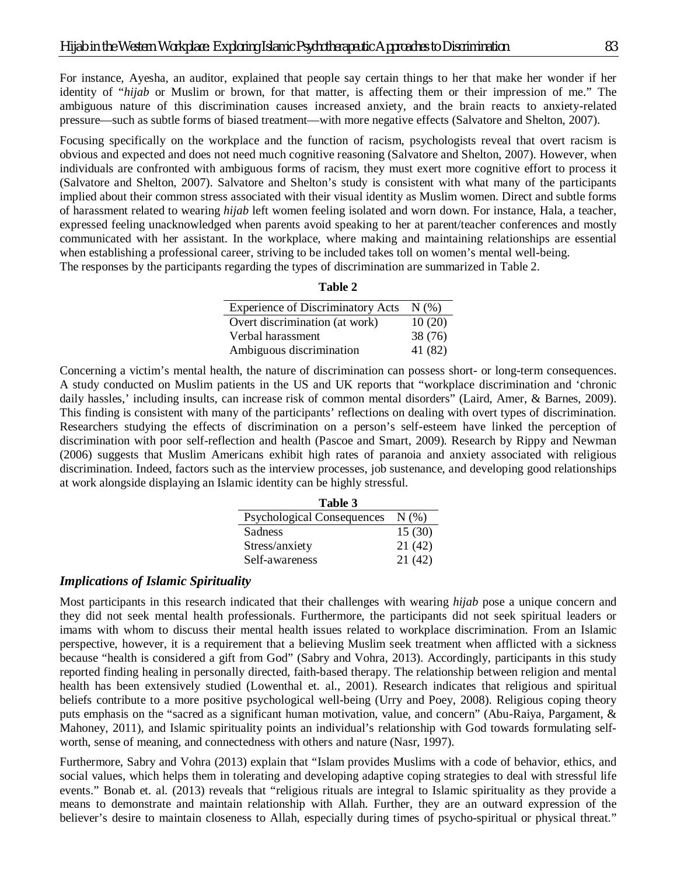For instance, Ayesha, an auditor, explained that people say certain things to her that make her wonder if her identity of "*hijab* or Muslim or brown, for that matter, is affecting them or their impression of me." The ambiguous nature of this discrimination causes increased anxiety, and the brain reacts to anxiety-related pressure—such as subtle forms of biased treatment—with more negative effects (Salvatore and Shelton, 2007).

Focusing specifically on the workplace and the function of racism, psychologists reveal that overt racism is obvious and expected and does not need much cognitive reasoning (Salvatore and Shelton, 2007). However, when individuals are confronted with ambiguous forms of racism, they must exert more cognitive effort to process it (Salvatore and Shelton, 2007). Salvatore and Shelton's study is consistent with what many of the participants implied about their common stress associated with their visual identity as Muslim women. Direct and subtle forms of harassment related to wearing *hijab* left women feeling isolated and worn down. For instance, Hala, a teacher, expressed feeling unacknowledged when parents avoid speaking to her at parent/teacher conferences and mostly communicated with her assistant. In the workplace, where making and maintaining relationships are essential when establishing a professional career, striving to be included takes toll on women's mental well-being. The responses by the participants regarding the types of discrimination are summarized in Table 2.

| ı<br>m<br>н |  |
|-------------|--|
|-------------|--|

| <b>Experience of Discriminatory Acts</b> | N(% )   |
|------------------------------------------|---------|
| Overt discrimination (at work)           | 10(20)  |
| Verbal harassment                        | 38 (76) |
| Ambiguous discrimination                 | 41 (82) |

Concerning a victim's mental health, the nature of discrimination can possess short- or long-term consequences. A study conducted on Muslim patients in the US and UK reports that "workplace discrimination and 'chronic daily hassles,' including insults, can increase risk of common mental disorders" (Laird, Amer, & Barnes, 2009). This finding is consistent with many of the participants' reflections on dealing with overt types of discrimination. Researchers studying the effects of discrimination on a person's self-esteem have linked the perception of discrimination with poor self-reflection and health (Pascoe and Smart, 2009). Research by Rippy and Newman (2006) suggests that Muslim Americans exhibit high rates of paranoia and anxiety associated with religious discrimination. Indeed, factors such as the interview processes, job sustenance, and developing good relationships at work alongside displaying an Islamic identity can be highly stressful.

| Table 3                           |        |
|-----------------------------------|--------|
| <b>Psychological Consequences</b> | N(%    |
| Sadness                           | 15(30) |
| Stress/anxiety                    | 21(42) |
| Self-awareness                    | 21(42) |

#### *Implications of Islamic Spirituality*

Most participants in this research indicated that their challenges with wearing *hijab* pose a unique concern and they did not seek mental health professionals. Furthermore, the participants did not seek spiritual leaders or imams with whom to discuss their mental health issues related to workplace discrimination. From an Islamic perspective, however, it is a requirement that a believing Muslim seek treatment when afflicted with a sickness because "health is considered a gift from God" (Sabry and Vohra, 2013). Accordingly, participants in this study reported finding healing in personally directed, faith-based therapy. The relationship between religion and mental health has been extensively studied (Lowenthal et. al., 2001). Research indicates that religious and spiritual beliefs contribute to a more positive psychological well-being (Urry and Poey, 2008). Religious coping theory puts emphasis on the "sacred as a significant human motivation, value, and concern" (Abu-Raiya, Pargament, & Mahoney, 2011), and Islamic spirituality points an individual's relationship with God towards formulating selfworth, sense of meaning, and connectedness with others and nature (Nasr, 1997).

Furthermore, Sabry and Vohra (2013) explain that "Islam provides Muslims with a code of behavior, ethics, and social values, which helps them in tolerating and developing adaptive coping strategies to deal with stressful life events." Bonab et. al. (2013) reveals that "religious rituals are integral to Islamic spirituality as they provide a means to demonstrate and maintain relationship with Allah. Further, they are an outward expression of the believer's desire to maintain closeness to Allah, especially during times of psycho-spiritual or physical threat."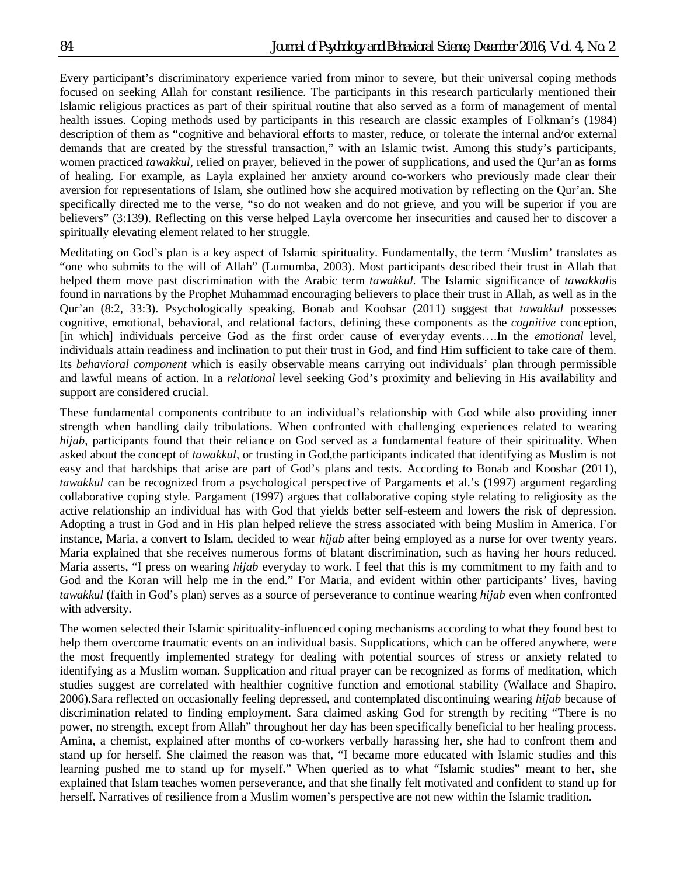Every participant's discriminatory experience varied from minor to severe, but their universal coping methods focused on seeking Allah for constant resilience. The participants in this research particularly mentioned their Islamic religious practices as part of their spiritual routine that also served as a form of management of mental health issues. Coping methods used by participants in this research are classic examples of Folkman's (1984) description of them as "cognitive and behavioral efforts to master, reduce, or tolerate the internal and/or external demands that are created by the stressful transaction," with an Islamic twist. Among this study's participants, women practiced *tawakkul*, relied on prayer, believed in the power of supplications, and used the Qur'an as forms of healing. For example, as Layla explained her anxiety around co-workers who previously made clear their aversion for representations of Islam, she outlined how she acquired motivation by reflecting on the Qur'an. She specifically directed me to the verse*,* "so do not weaken and do not grieve, and you will be superior if you are believers" (3:139). Reflecting on this verse helped Layla overcome her insecurities and caused her to discover a spiritually elevating element related to her struggle.

Meditating on God's plan is a key aspect of Islamic spirituality. Fundamentally, the term 'Muslim' translates as "one who submits to the will of Allah" (Lumumba, 2003). Most participants described their trust in Allah that helped them move past discrimination with the Arabic term *tawakkul.* The Islamic significance of *tawakkul*is found in narrations by the Prophet Muhammad encouraging believers to place their trust in Allah, as well as in the Qur'an (8:2, 33:3). Psychologically speaking, Bonab and Koohsar (2011) suggest that *tawakkul* possesses cognitive, emotional, behavioral, and relational factors, defining these components as the *cognitive* conception, [in which] individuals perceive God as the first order cause of everyday events….In the *emotional* level, individuals attain readiness and inclination to put their trust in God, and find Him sufficient to take care of them. Its *behavioral component* which is easily observable means carrying out individuals' plan through permissible and lawful means of action. In a *relational* level seeking God's proximity and believing in His availability and support are considered crucial.

These fundamental components contribute to an individual's relationship with God while also providing inner strength when handling daily tribulations. When confronted with challenging experiences related to wearing *hijab*, participants found that their reliance on God served as a fundamental feature of their spirituality. When asked about the concept of *tawakkul*, or trusting in God,the participants indicated that identifying as Muslim is not easy and that hardships that arise are part of God's plans and tests. According to Bonab and Kooshar (2011), *tawakkul* can be recognized from a psychological perspective of Pargaments et al.'s (1997) argument regarding collaborative coping style. Pargament (1997) argues that collaborative coping style relating to religiosity as the active relationship an individual has with God that yields better self-esteem and lowers the risk of depression. Adopting a trust in God and in His plan helped relieve the stress associated with being Muslim in America. For instance, Maria, a convert to Islam, decided to wear *hijab* after being employed as a nurse for over twenty years. Maria explained that she receives numerous forms of blatant discrimination, such as having her hours reduced. Maria asserts, "I press on wearing *hijab* everyday to work. I feel that this is my commitment to my faith and to God and the Koran will help me in the end." For Maria, and evident within other participants' lives, having *tawakkul* (faith in God's plan) serves as a source of perseverance to continue wearing *hijab* even when confronted with adversity.

The women selected their Islamic spirituality-influenced coping mechanisms according to what they found best to help them overcome traumatic events on an individual basis. Supplications, which can be offered anywhere, were the most frequently implemented strategy for dealing with potential sources of stress or anxiety related to identifying as a Muslim woman. Supplication and ritual prayer can be recognized as forms of meditation, which studies suggest are correlated with healthier cognitive function and emotional stability (Wallace and Shapiro, 2006).Sara reflected on occasionally feeling depressed, and contemplated discontinuing wearing *hijab* because of discrimination related to finding employment. Sara claimed asking God for strength by reciting "There is no power, no strength, except from Allah" throughout her day has been specifically beneficial to her healing process. Amina, a chemist, explained after months of co-workers verbally harassing her, she had to confront them and stand up for herself. She claimed the reason was that, "I became more educated with Islamic studies and this learning pushed me to stand up for myself." When queried as to what "Islamic studies" meant to her, she explained that Islam teaches women perseverance, and that she finally felt motivated and confident to stand up for herself. Narratives of resilience from a Muslim women's perspective are not new within the Islamic tradition.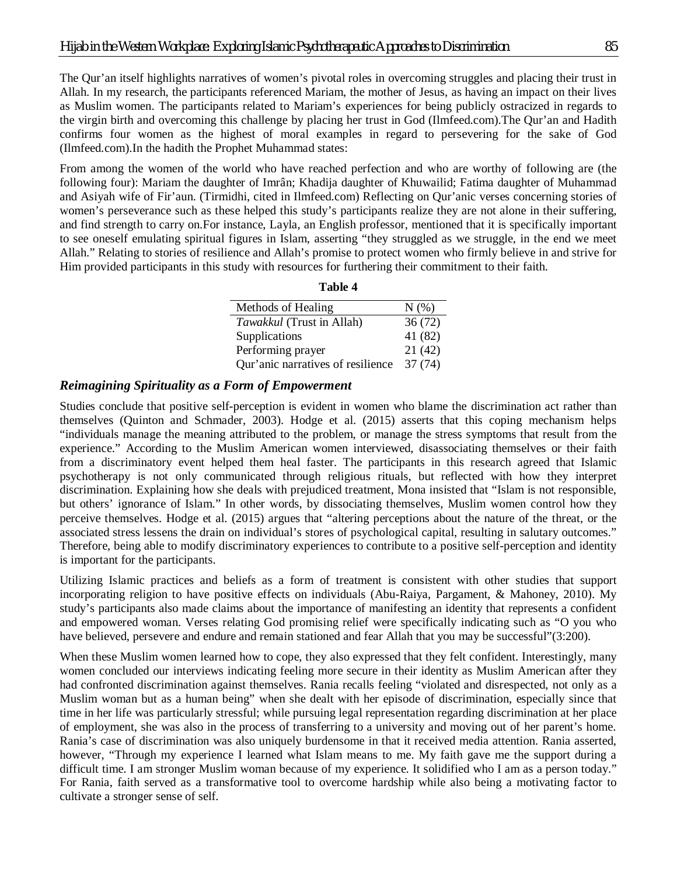The Qur'an itself highlights narratives of women's pivotal roles in overcoming struggles and placing their trust in Allah. In my research, the participants referenced Mariam, the mother of Jesus, as having an impact on their lives as Muslim women. The participants related to Mariam's experiences for being publicly ostracized in regards to the virgin birth and overcoming this challenge by placing her trust in God (Ilmfeed.com).The Qur'an and Hadith confirms four women as the highest of moral examples in regard to persevering for the sake of God (Ilmfeed.com).In the hadith the Prophet Muhammad states:

From among the women of the world who have reached perfection and who are worthy of following are (the following four): Mariam the daughter of Imrân; Khadija daughter of Khuwailid; Fatima daughter of Muhammad and Asiyah wife of Fir'aun. (Tirmidhi, cited in Ilmfeed.com) Reflecting on Qur'anic verses concerning stories of women's perseverance such as these helped this study's participants realize they are not alone in their suffering, and find strength to carry on.For instance, Layla, an English professor, mentioned that it is specifically important to see oneself emulating spiritual figures in Islam, asserting "they struggled as we struggle, in the end we meet Allah." Relating to stories of resilience and Allah's promise to protect women who firmly believe in and strive for Him provided participants in this study with resources for furthering their commitment to their faith.

| Methods of Healing                | N(%     |
|-----------------------------------|---------|
| Tawakkul (Trust in Allah)         | 36(72)  |
| Supplications                     | 41 (82) |
| Performing prayer                 | 21(42)  |
| Qur'anic narratives of resilience | 37 (74) |

**Table 4**

### *Reimagining Spirituality as a Form of Empowerment*

Studies conclude that positive self-perception is evident in women who blame the discrimination act rather than themselves (Quinton and Schmader, 2003). Hodge et al. (2015) asserts that this coping mechanism helps "individuals manage the meaning attributed to the problem, or manage the stress symptoms that result from the experience." According to the Muslim American women interviewed, disassociating themselves or their faith from a discriminatory event helped them heal faster. The participants in this research agreed that Islamic psychotherapy is not only communicated through religious rituals, but reflected with how they interpret discrimination. Explaining how she deals with prejudiced treatment, Mona insisted that "Islam is not responsible, but others' ignorance of Islam." In other words, by dissociating themselves, Muslim women control how they perceive themselves. Hodge et al. (2015) argues that "altering perceptions about the nature of the threat, or the associated stress lessens the drain on individual's stores of psychological capital, resulting in salutary outcomes." Therefore, being able to modify discriminatory experiences to contribute to a positive self-perception and identity is important for the participants.

Utilizing Islamic practices and beliefs as a form of treatment is consistent with other studies that support incorporating religion to have positive effects on individuals (Abu-Raiya, Pargament, & Mahoney, 2010). My study's participants also made claims about the importance of manifesting an identity that represents a confident and empowered woman. Verses relating God promising relief were specifically indicating such as "O you who have believed, persevere and endure and remain stationed and fear Allah that you may be successful"(3:200).

When these Muslim women learned how to cope, they also expressed that they felt confident. Interestingly, many women concluded our interviews indicating feeling more secure in their identity as Muslim American after they had confronted discrimination against themselves. Rania recalls feeling "violated and disrespected, not only as a Muslim woman but as a human being" when she dealt with her episode of discrimination, especially since that time in her life was particularly stressful; while pursuing legal representation regarding discrimination at her place of employment, she was also in the process of transferring to a university and moving out of her parent's home. Rania's case of discrimination was also uniquely burdensome in that it received media attention. Rania asserted, however, "Through my experience I learned what Islam means to me. My faith gave me the support during a difficult time. I am stronger Muslim woman because of my experience. It solidified who I am as a person today." For Rania, faith served as a transformative tool to overcome hardship while also being a motivating factor to cultivate a stronger sense of self.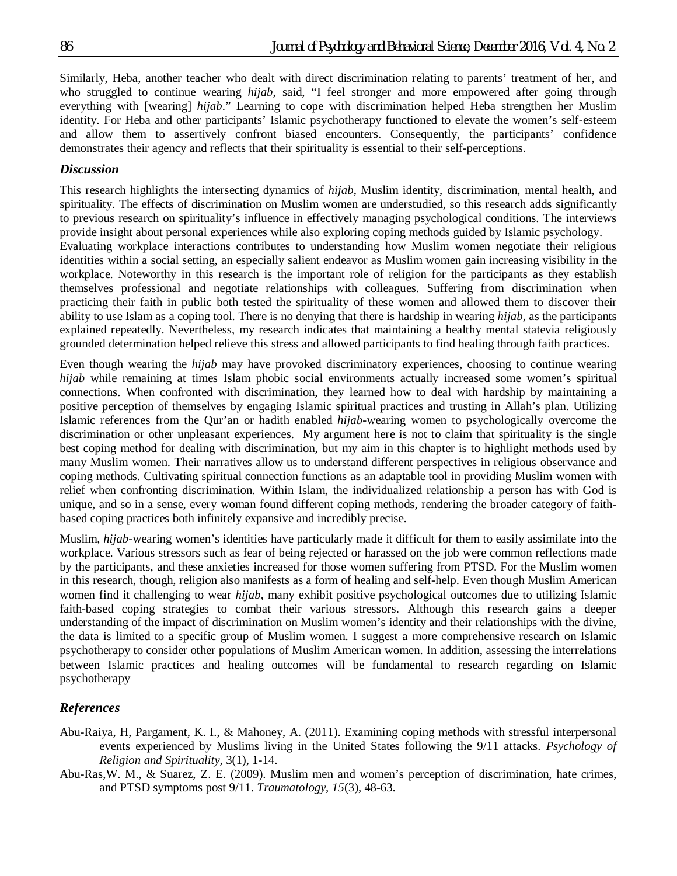Similarly, Heba, another teacher who dealt with direct discrimination relating to parents' treatment of her, and who struggled to continue wearing *hijab*, said, "I feel stronger and more empowered after going through everything with [wearing] *hijab*." Learning to cope with discrimination helped Heba strengthen her Muslim identity. For Heba and other participants' Islamic psychotherapy functioned to elevate the women's self-esteem and allow them to assertively confront biased encounters. Consequently, the participants' confidence demonstrates their agency and reflects that their spirituality is essential to their self-perceptions.

### *Discussion*

This research highlights the intersecting dynamics of *hijab*, Muslim identity, discrimination, mental health, and spirituality. The effects of discrimination on Muslim women are understudied, so this research adds significantly to previous research on spirituality's influence in effectively managing psychological conditions. The interviews provide insight about personal experiences while also exploring coping methods guided by Islamic psychology.

Evaluating workplace interactions contributes to understanding how Muslim women negotiate their religious identities within a social setting, an especially salient endeavor as Muslim women gain increasing visibility in the workplace. Noteworthy in this research is the important role of religion for the participants as they establish themselves professional and negotiate relationships with colleagues. Suffering from discrimination when practicing their faith in public both tested the spirituality of these women and allowed them to discover their ability to use Islam as a coping tool. There is no denying that there is hardship in wearing *hijab*, as the participants explained repeatedly. Nevertheless, my research indicates that maintaining a healthy mental statevia religiously grounded determination helped relieve this stress and allowed participants to find healing through faith practices.

Even though wearing the *hijab* may have provoked discriminatory experiences, choosing to continue wearing *hijab* while remaining at times Islam phobic social environments actually increased some women's spiritual connections. When confronted with discrimination, they learned how to deal with hardship by maintaining a positive perception of themselves by engaging Islamic spiritual practices and trusting in Allah's plan. Utilizing Islamic references from the Qur'an or hadith enabled *hijab*-wearing women to psychologically overcome the discrimination or other unpleasant experiences. My argument here is not to claim that spirituality is the single best coping method for dealing with discrimination, but my aim in this chapter is to highlight methods used by many Muslim women. Their narratives allow us to understand different perspectives in religious observance and coping methods. Cultivating spiritual connection functions as an adaptable tool in providing Muslim women with relief when confronting discrimination. Within Islam, the individualized relationship a person has with God is unique, and so in a sense, every woman found different coping methods, rendering the broader category of faithbased coping practices both infinitely expansive and incredibly precise.

Muslim, *hijab*-wearing women's identities have particularly made it difficult for them to easily assimilate into the workplace. Various stressors such as fear of being rejected or harassed on the job were common reflections made by the participants, and these anxieties increased for those women suffering from PTSD. For the Muslim women in this research, though, religion also manifests as a form of healing and self-help. Even though Muslim American women find it challenging to wear *hijab*, many exhibit positive psychological outcomes due to utilizing Islamic faith-based coping strategies to combat their various stressors. Although this research gains a deeper understanding of the impact of discrimination on Muslim women's identity and their relationships with the divine, the data is limited to a specific group of Muslim women. I suggest a more comprehensive research on Islamic psychotherapy to consider other populations of Muslim American women. In addition, assessing the interrelations between Islamic practices and healing outcomes will be fundamental to research regarding on Islamic psychotherapy

### *References*

- Abu-Raiya, H, Pargament, K. I., & Mahoney, A. (2011). Examining coping methods with stressful interpersonal events experienced by Muslims living in the United States following the 9/11 attacks. *Psychology of Religion and Spirituality,* 3(1), 1-14.
- Abu-Ras,W. M., & Suarez, Z. E. (2009). Muslim men and women's perception of discrimination, hate crimes, and PTSD symptoms post 9/11. *Traumatology, 15*(3), 48-63.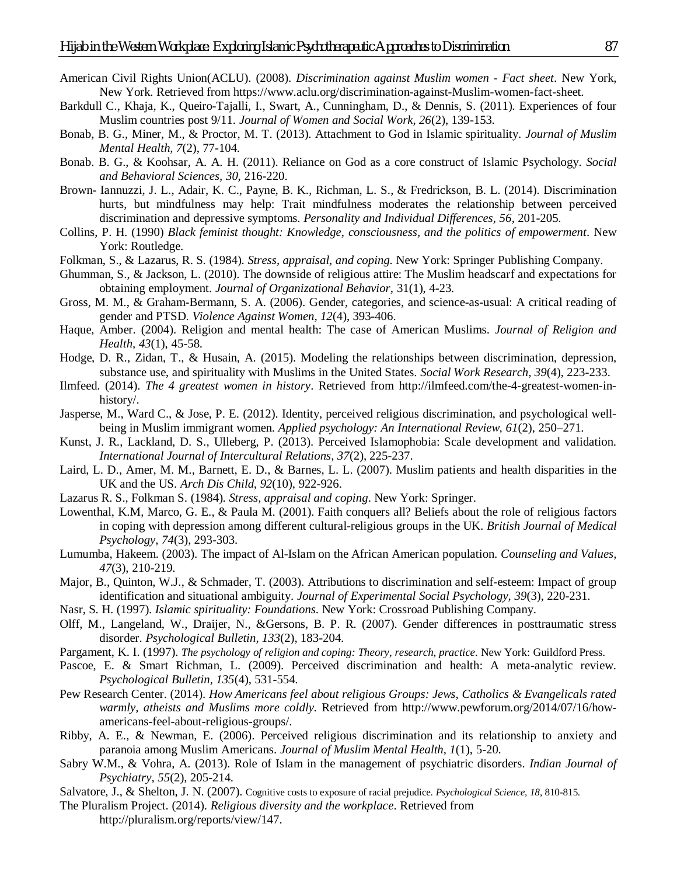- American Civil Rights Union(ACLU). (2008). *Discrimination against Muslim women - Fact sheet*. New York, New York. Retrieved from https://www.aclu.org/discrimination-against-Muslim-women-fact-sheet.
- Barkdull C., Khaja, K., Queiro-Tajalli, I., Swart, A., Cunningham, D., & Dennis, S. (2011). Experiences of four Muslim countries post 9/11. *Journal of Women and Social Work, 26*(2), 139-153.
- Bonab, B. G., Miner, M., & Proctor, M. T. (2013). Attachment to God in Islamic spirituality. *Journal of Muslim Mental Health, 7*(2), 77-104.
- Bonab. B. G., & Koohsar, A. A. H. (2011). Reliance on God as a core construct of Islamic Psychology. *Social and Behavioral Sciences, 30*, 216-220.
- Brown- Iannuzzi, J. L., Adair, K. C., Payne, B. K., Richman, L. S., & Fredrickson, B. L. (2014). Discrimination hurts, but mindfulness may help: Trait mindfulness moderates the relationship between perceived discrimination and depressive symptoms. *Personality and Individual Differences, 56*, 201-205.
- Collins, P. H. (1990) *Black feminist thought: Knowledge, consciousness, and the politics of empowerment*. New York: Routledge.
- Folkman, S., & Lazarus, R. S. (1984). *Stress, appraisal, and coping*. New York: Springer Publishing Company.
- Ghumman, S., & Jackson, L. (2010). The downside of religious attire: The Muslim headscarf and expectations for obtaining employment. *Journal of Organizational Behavior,* 31(1), 4-23.
- Gross, M. M., & Graham-Bermann, S. A. (2006). Gender, categories, and science-as-usual: A critical reading of gender and PTSD. *Violence Against Women, 12*(4), 393-406.
- Haque, Amber. (2004). Religion and mental health: The case of American Muslims. *Journal of Religion and Health, 43*(1), 45-58.
- Hodge, D. R., Zidan, T., & Husain, A. (2015). Modeling the relationships between discrimination, depression, substance use, and spirituality with Muslims in the United States. *Social Work Research, 39*(4), 223-233.
- Ilmfeed. (2014). *The 4 greatest women in history*. Retrieved from http://ilmfeed.com/the-4-greatest-women-inhistory/.
- Jasperse, M., Ward C., & Jose, P. E. (2012). Identity, perceived religious discrimination, and psychological wellbeing in Muslim immigrant women. *Applied psychology: An International Review, 61*(2), 250–271.
- Kunst, J. R., Lackland, D. S., Ulleberg, P. (2013). Perceived Islamophobia: Scale development and validation. *International Journal of Intercultural Relations, 37*(2), 225-237.
- Laird, L. D., Amer, M. M., Barnett, E. D., & Barnes, L. L. (2007). Muslim patients and health disparities in the UK and the US. *Arch Dis Child, 92*(10), 922-926.
- Lazarus R. S., Folkman S. (1984). *Stress, appraisal and coping*. New York: Springer.
- Lowenthal, K.M, Marco, G. E., & Paula M. (2001). Faith conquers all? Beliefs about the role of religious factors in coping with depression among different cultural-religious groups in the UK. *British Journal of Medical Psychology, 74*(3), 293-303.
- Lumumba, Hakeem. (2003). The impact of Al-Islam on the African American population. *Counseling and Values, 47*(3), 210-219.
- Major, B., Quinton, W.J., & Schmader, T. (2003). Attributions to discrimination and self-esteem: Impact of group identification and situational ambiguity. *Journal of Experimental Social Psychology, 39*(3), 220-231*.*
- Nasr, S. H. (1997). *Islamic spirituality: Foundations*. New York: Crossroad Publishing Company.
- Olff, M., Langeland, W., Draijer, N., &Gersons, B. P. R. (2007). Gender differences in posttraumatic stress disorder. *Psychological Bulletin, 133*(2), 183-204.
- Pargament, K. I. (1997). *The psychology of religion and coping: Theory, research, practice.* New York: Guildford Press.
- Pascoe, E. & Smart Richman, L. (2009). Perceived discrimination and health: A meta-analytic review. *Psychological Bulletin, 135*(4), 531-554.
- Pew Research Center. (2014). *How Americans feel about religious Groups: Jews, Catholics & Evangelicals rated warmly, atheists and Muslims more coldly.* Retrieved from http://www.pewforum.org/2014/07/16/howamericans-feel-about-religious-groups/.
- Ribby, A. E., & Newman, E. (2006). Perceived religious discrimination and its relationship to anxiety and paranoia among Muslim Americans. *Journal of Muslim Mental Health, 1*(1), 5-20.
- Sabry W.M., & Vohra, A. (2013). Role of Islam in the management of psychiatric disorders. *Indian Journal of Psychiatry, 55*(2), 205-214.
- Salvatore, J., & Shelton, J. N. (2007). Cognitive costs to exposure of racial prejudice. *Psychological Science, 18*, 810-815.
- The Pluralism Project. (2014). *Religious diversity and the workplace*. Retrieved from http://pluralism.org/reports/view/147.